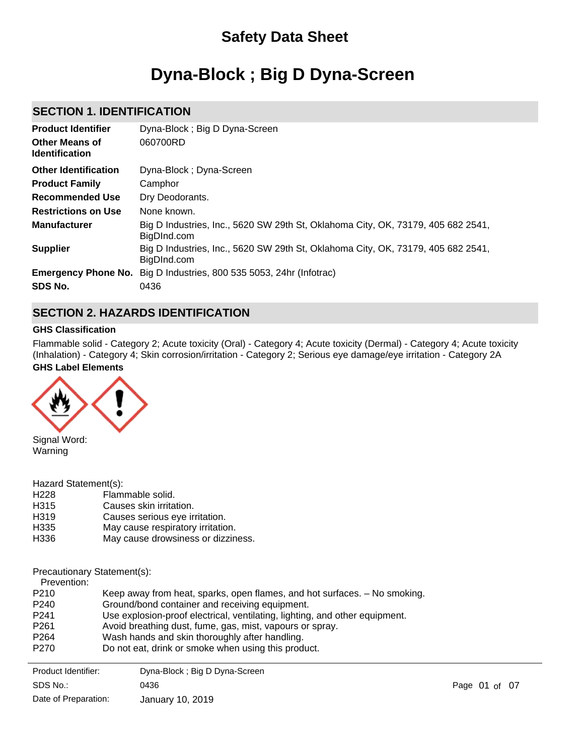## **Safety Data Sheet**

# **Dyna-Block ; Big D Dyna-Screen**

### **SECTION 1. IDENTIFICATION**

| <b>Product Identifier</b><br><b>Other Means of</b><br><b>Identification</b> | Dyna-Block; Big D Dyna-Screen<br>060700RD                                                       |
|-----------------------------------------------------------------------------|-------------------------------------------------------------------------------------------------|
| <b>Other Identification</b>                                                 | Dyna-Block; Dyna-Screen                                                                         |
| <b>Product Family</b>                                                       | Camphor                                                                                         |
| <b>Recommended Use</b>                                                      | Dry Deodorants.                                                                                 |
| <b>Restrictions on Use</b>                                                  | None known.                                                                                     |
| <b>Manufacturer</b>                                                         | Big D Industries, Inc., 5620 SW 29th St, Oklahoma City, OK, 73179, 405 682 2541,<br>BigDInd.com |
| <b>Supplier</b>                                                             | Big D Industries, Inc., 5620 SW 29th St, Oklahoma City, OK, 73179, 405 682 2541,<br>BigDInd.com |
| <b>Emergency Phone No.</b><br>SDS No.                                       | Big D Industries, 800 535 5053, 24hr (Infotrac)<br>0436                                         |

## **SECTION 2. HAZARDS IDENTIFICATION**

#### **GHS Classification**

**GHS Label Elements** Flammable solid - Category 2; Acute toxicity (Oral) - Category 4; Acute toxicity (Dermal) - Category 4; Acute toxicity (Inhalation) - Category 4; Skin corrosion/irritation - Category 2; Serious eye damage/eye irritation - Category 2A



Signal Word: Warning

Hazard Statement(s):

H228 Flammable solid. H315 Causes skin irritation.

| H <sub>319</sub><br>H <sub>335</sub> | Causes serious eye irritation.                                              |
|--------------------------------------|-----------------------------------------------------------------------------|
|                                      | May cause respiratory irritation.                                           |
| H336                                 | May cause drowsiness or dizziness.                                          |
|                                      |                                                                             |
| Precautionary Statement(s):          |                                                                             |
| Prevention:                          |                                                                             |
| P <sub>210</sub>                     | Keep away from heat, sparks, open flames, and hot surfaces. - No smoking.   |
| P <sub>240</sub>                     | Ground/bond container and receiving equipment.                              |
| P <sub>241</sub>                     | Use explosion-proof electrical, ventilating, lighting, and other equipment. |
| P <sub>261</sub>                     | Avoid breathing dust, fume, gas, mist, vapours or spray.                    |
| P <sub>264</sub>                     | Wash hands and skin thoroughly after handling.                              |
| P <sub>270</sub>                     | Do not eat, drink or smoke when using this product.                         |
|                                      |                                                                             |

Product Identifier: Dyna-Block ; Big D Dyna-Screen Date of Preparation: SDS No.: 0436 **Page 01 of 07** January 10, 2019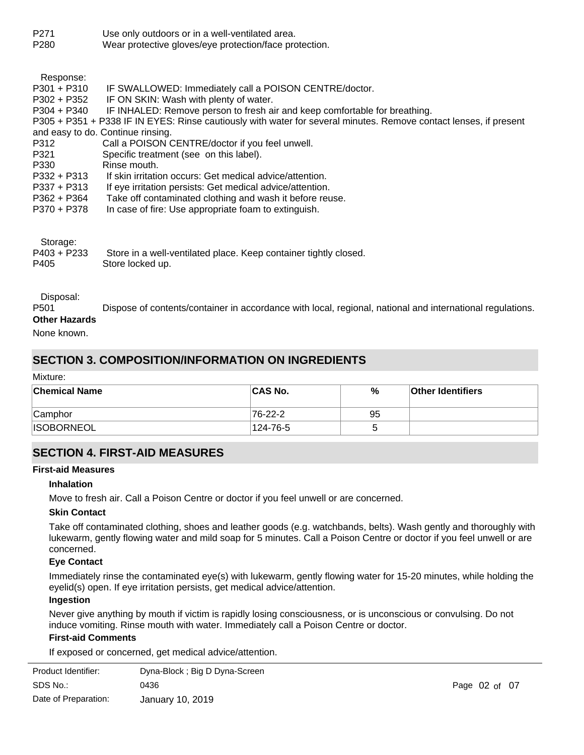| P <sub>271</sub> | Use only outdoors or in a well-ventilated area.        |
|------------------|--------------------------------------------------------|
| P <sub>280</sub> | Wear protective gloves/eye protection/face protection. |

| Response:     |                                                                                                                   |
|---------------|-------------------------------------------------------------------------------------------------------------------|
| $P301 + P310$ | IF SWALLOWED: Immediately call a POISON CENTRE/doctor.                                                            |
| P302 + P352   | IF ON SKIN: Wash with plenty of water.                                                                            |
| $P304 + P340$ | IF INHALED: Remove person to fresh air and keep comfortable for breathing.                                        |
|               | P305 + P351 + P338 IF IN EYES: Rinse cautiously with water for several minutes. Remove contact lenses, if present |
|               | and easy to do. Continue rinsing.                                                                                 |
| P312          | Call a POISON CENTRE/doctor if you feel unwell.                                                                   |
| P321          | Specific treatment (see on this label).                                                                           |
| P330          | Rinse mouth.                                                                                                      |
| $P332 + P313$ | If skin irritation occurs: Get medical advice/attention.                                                          |
| $P337 + P313$ | If eye irritation persists: Get medical advice/attention.                                                         |
| P362 + P364   | Take off contaminated clothing and wash it before reuse.                                                          |
| P370 + P378   | In case of fire: Use appropriate foam to extinguish.                                                              |
|               |                                                                                                                   |
|               |                                                                                                                   |

| Storage:    |                                                                  |
|-------------|------------------------------------------------------------------|
| P403 + P233 | Store in a well-ventilated place. Keep container tightly closed. |
| P405        | Store locked up.                                                 |

#### Disposal:

P501 Dispose of contents/container in accordance with local, regional, national and international regulations. **Other Hazards**

## None known.

## **SECTION 3. COMPOSITION/INFORMATION ON INGREDIENTS**

Mixture:

| <b>Chemical Name</b> | <b>CAS No.</b> | %  | <b>Other Identifiers</b> |
|----------------------|----------------|----|--------------------------|
| Camphor              | 76-22-2        | 95 |                          |
| <b>ISOBORNEOL</b>    | 124-76-5       | ∽  |                          |

## **SECTION 4. FIRST-AID MEASURES**

#### **First-aid Measures**

#### **Inhalation**

Move to fresh air. Call a Poison Centre or doctor if you feel unwell or are concerned.

#### **Skin Contact**

Take off contaminated clothing, shoes and leather goods (e.g. watchbands, belts). Wash gently and thoroughly with lukewarm, gently flowing water and mild soap for 5 minutes. Call a Poison Centre or doctor if you feel unwell or are concerned.

#### **Eye Contact**

Immediately rinse the contaminated eye(s) with lukewarm, gently flowing water for 15-20 minutes, while holding the eyelid(s) open. If eye irritation persists, get medical advice/attention.

#### **Ingestion**

Never give anything by mouth if victim is rapidly losing consciousness, or is unconscious or convulsing. Do not induce vomiting. Rinse mouth with water. Immediately call a Poison Centre or doctor.

#### **First-aid Comments**

If exposed or concerned, get medical advice/attention.

| Product Identifier:  | Dyna-Block; Big D Dyna-Screen |                   |  |
|----------------------|-------------------------------|-------------------|--|
| SDS No.:             | 0436                          | Page $02$ of $07$ |  |
| Date of Preparation: | January 10, 2019              |                   |  |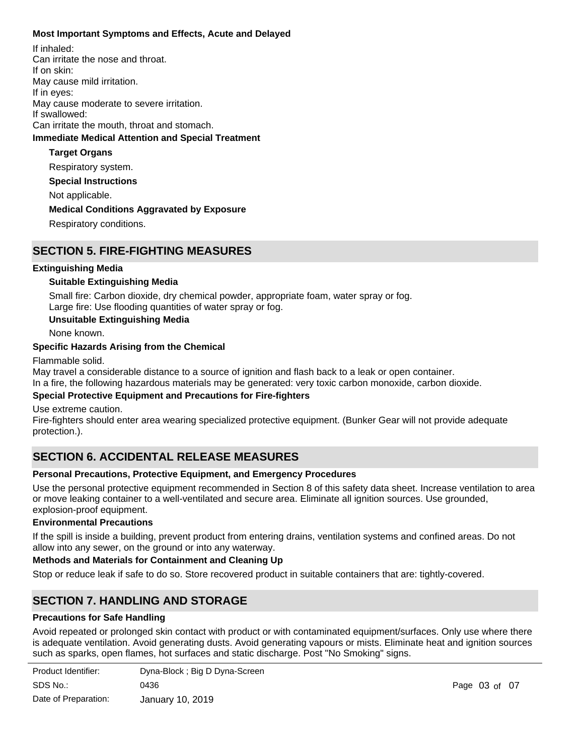#### **Most Important Symptoms and Effects, Acute and Delayed**

**Special Instructions** Not applicable. **Immediate Medical Attention and Special Treatment Medical Conditions Aggravated by Exposure** Respiratory conditions. **Target Organs** Respiratory system. If inhaled: Can irritate the nose and throat. If on skin: May cause mild irritation. If in eyes: May cause moderate to severe irritation. If swallowed: Can irritate the mouth, throat and stomach.

## **SECTION 5. FIRE-FIGHTING MEASURES**

#### **Extinguishing Media**

#### **Suitable Extinguishing Media**

Small fire: Carbon dioxide, dry chemical powder, appropriate foam, water spray or fog. Large fire: Use flooding quantities of water spray or fog.

#### **Unsuitable Extinguishing Media**

None known.

#### **Specific Hazards Arising from the Chemical**

#### Flammable solid.

May travel a considerable distance to a source of ignition and flash back to a leak or open container.

In a fire, the following hazardous materials may be generated: very toxic carbon monoxide, carbon dioxide.

#### **Special Protective Equipment and Precautions for Fire-fighters**

Use extreme caution.

Fire-fighters should enter area wearing specialized protective equipment. (Bunker Gear will not provide adequate protection.).

## **SECTION 6. ACCIDENTAL RELEASE MEASURES**

#### **Personal Precautions, Protective Equipment, and Emergency Procedures**

Use the personal protective equipment recommended in Section 8 of this safety data sheet. Increase ventilation to area or move leaking container to a well-ventilated and secure area. Eliminate all ignition sources. Use grounded, explosion-proof equipment.

#### **Environmental Precautions**

If the spill is inside a building, prevent product from entering drains, ventilation systems and confined areas. Do not allow into any sewer, on the ground or into any waterway.

#### **Methods and Materials for Containment and Cleaning Up**

Stop or reduce leak if safe to do so. Store recovered product in suitable containers that are: tightly-covered.

## **SECTION 7. HANDLING AND STORAGE**

#### **Precautions for Safe Handling**

Avoid repeated or prolonged skin contact with product or with contaminated equipment/surfaces. Only use where there is adequate ventilation. Avoid generating dusts. Avoid generating vapours or mists. Eliminate heat and ignition sources such as sparks, open flames, hot surfaces and static discharge. Post "No Smoking" signs.

| Product Identifier:  | Dyna-Block; Big D Dyna-Screen |
|----------------------|-------------------------------|
| SDS No.:             | 0436                          |
| Date of Preparation: | January 10, 2019              |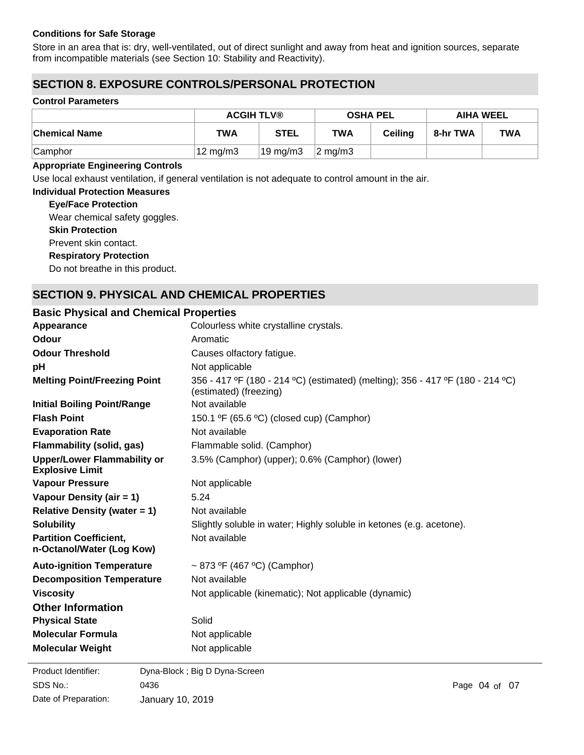#### **Conditions for Safe Storage**

Store in an area that is: dry, well-ventilated, out of direct sunlight and away from heat and ignition sources, separate from incompatible materials (see Section 10: Stability and Reactivity).

## **SECTION 8. EXPOSURE CONTROLS/PERSONAL PROTECTION**

#### **Control Parameters**

|                      | <b>ACGIH TLV®</b> |                   | <b>OSHA PEL</b>  |                | <b>AIHA WEEL</b> |            |
|----------------------|-------------------|-------------------|------------------|----------------|------------------|------------|
| <b>Chemical Name</b> | <b>TWA</b>        | <b>STEL</b>       | <b>TWA</b>       | <b>Ceiling</b> | 8-hr TWA         | <b>TWA</b> |
| <b>Camphor</b>       | $12 \text{ mg/m}$ | $19 \text{ mg/m}$ | $\sqrt{2}$ mg/m3 |                |                  |            |

#### **Appropriate Engineering Controls**

Use local exhaust ventilation, if general ventilation is not adequate to control amount in the air.

#### **Individual Protection Measures**

**Eye/Face Protection**

**Skin Protection Respiratory Protection** Prevent skin contact. Wear chemical safety goggles.

Do not breathe in this product.

## **SECTION 9. PHYSICAL AND CHEMICAL PROPERTIES**

#### **Basic Physical and Chemical Properties**

| Appearance                                                   | Colourless white crystalline crystals.                                                                   |  |  |
|--------------------------------------------------------------|----------------------------------------------------------------------------------------------------------|--|--|
| Odour                                                        | Aromatic                                                                                                 |  |  |
| <b>Odour Threshold</b>                                       | Causes olfactory fatigue.                                                                                |  |  |
| рH                                                           | Not applicable                                                                                           |  |  |
| <b>Melting Point/Freezing Point</b>                          | 356 - 417 °F (180 - 214 °C) (estimated) (melting); 356 - 417 °F (180 - 214 °C)<br>(estimated) (freezing) |  |  |
| <b>Initial Boiling Point/Range</b>                           | Not available                                                                                            |  |  |
| <b>Flash Point</b>                                           | 150.1 $\textdegree$ F (65.6 $\textdegree$ C) (closed cup) (Camphor)                                      |  |  |
| <b>Evaporation Rate</b>                                      | Not available                                                                                            |  |  |
| <b>Flammability (solid, gas)</b>                             | Flammable solid. (Camphor)                                                                               |  |  |
| <b>Upper/Lower Flammability or</b><br><b>Explosive Limit</b> | 3.5% (Camphor) (upper); 0.6% (Camphor) (lower)                                                           |  |  |
| <b>Vapour Pressure</b>                                       | Not applicable                                                                                           |  |  |
| Vapour Density (air = 1)                                     | 5.24                                                                                                     |  |  |
| Relative Density (water $= 1$ )                              | Not available                                                                                            |  |  |
| <b>Solubility</b>                                            | Slightly soluble in water; Highly soluble in ketones (e.g. acetone).                                     |  |  |
| <b>Partition Coefficient,</b><br>n-Octanol/Water (Log Kow)   | Not available                                                                                            |  |  |
| <b>Auto-ignition Temperature</b>                             | ~ 873 °F (467 °C) (Camphor)                                                                              |  |  |
| <b>Decomposition Temperature</b>                             | Not available                                                                                            |  |  |
| <b>Viscosity</b>                                             | Not applicable (kinematic); Not applicable (dynamic)                                                     |  |  |
| <b>Other Information</b>                                     |                                                                                                          |  |  |
| <b>Physical State</b>                                        | Solid                                                                                                    |  |  |
| <b>Molecular Formula</b>                                     | Not applicable                                                                                           |  |  |
| <b>Molecular Weight</b>                                      | Not applicable                                                                                           |  |  |
| Product Identifier:                                          | Dyna-Block; Big D Dyna-Screen                                                                            |  |  |

SDS No.: Date of Preparation: 0436 Page 04 of 07 January 10, 2019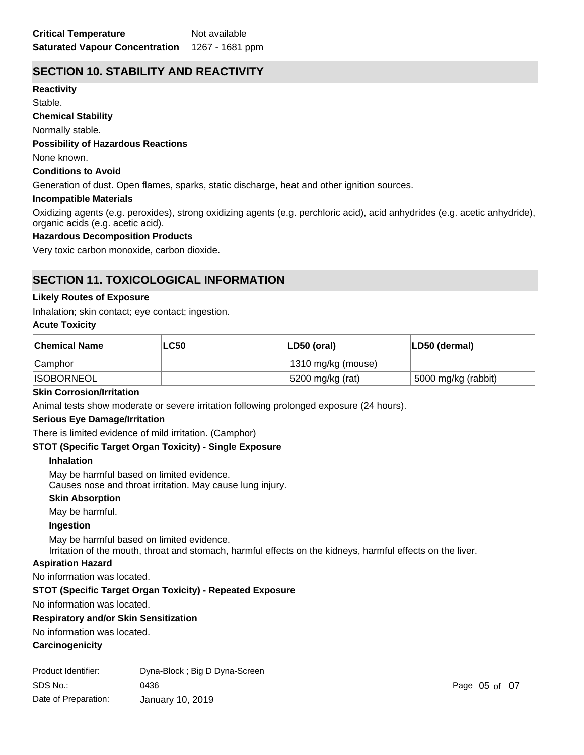## **SECTION 10. STABILITY AND REACTIVITY**

**Reactivity** Stable.

**Chemical Stability**

Normally stable.

#### **Possibility of Hazardous Reactions**

None known.

#### **Conditions to Avoid**

Generation of dust. Open flames, sparks, static discharge, heat and other ignition sources.

#### **Incompatible Materials**

Oxidizing agents (e.g. peroxides), strong oxidizing agents (e.g. perchloric acid), acid anhydrides (e.g. acetic anhydride), organic acids (e.g. acetic acid).

#### **Hazardous Decomposition Products**

Very toxic carbon monoxide, carbon dioxide.

## **SECTION 11. TOXICOLOGICAL INFORMATION**

#### **Likely Routes of Exposure**

Inhalation; skin contact; eye contact; ingestion.

#### **Acute Toxicity**

| ∣Chemical Name    | <b>LC50</b> | LD50 (oral)        | LD50 (dermal)       |
|-------------------|-------------|--------------------|---------------------|
| <b>Camphor</b>    |             | 1310 mg/kg (mouse) |                     |
| <b>ISOBORNEOL</b> |             | 5200 mg/kg (rat)   | 5000 mg/kg (rabbit) |

#### **Skin Corrosion/Irritation**

Animal tests show moderate or severe irritation following prolonged exposure (24 hours).

#### **Serious Eye Damage/Irritation**

There is limited evidence of mild irritation. (Camphor)

#### **STOT (Specific Target Organ Toxicity) - Single Exposure**

#### **Inhalation**

May be harmful based on limited evidence. Causes nose and throat irritation. May cause lung injury.

#### **Skin Absorption**

May be harmful.

#### **Ingestion**

May be harmful based on limited evidence. Irritation of the mouth, throat and stomach, harmful effects on the kidneys, harmful effects on the liver.

#### **Aspiration Hazard**

No information was located.

#### **STOT (Specific Target Organ Toxicity) - Repeated Exposure**

No information was located.

#### **Respiratory and/or Skin Sensitization**

No information was located.

#### **Carcinogenicity**

A4 – Not classifiable as a human carcinogen. SDS No.: Date of Preparation: 0436 Page 05 of 07 January 10, 2019 Product Identifier: Dyna-Block ; Big D Dyna-Screen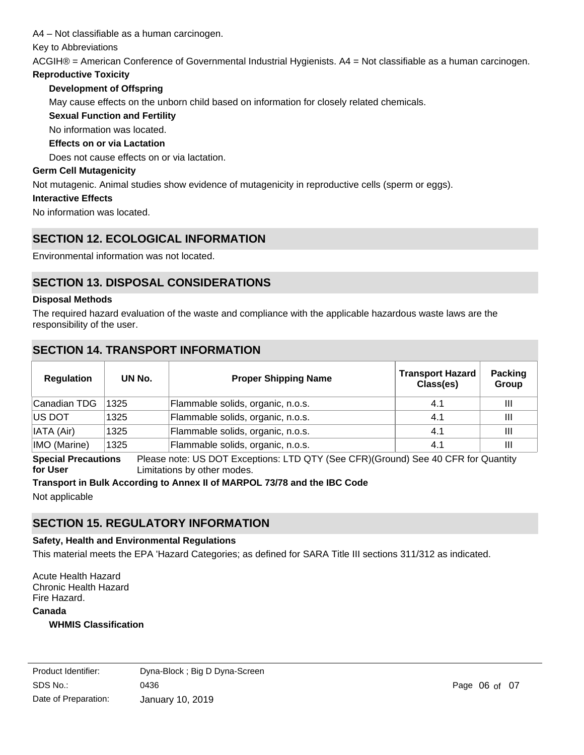A4 – Not classifiable as a human carcinogen.

Key to Abbreviations

ACGIH® = American Conference of Governmental Industrial Hygienists. A4 = Not classifiable as a human carcinogen.

#### **Reproductive Toxicity**

#### **Development of Offspring**

May cause effects on the unborn child based on information for closely related chemicals.

#### **Sexual Function and Fertility**

No information was located.

#### **Effects on or via Lactation**

Does not cause effects on or via lactation.

#### **Germ Cell Mutagenicity**

Not mutagenic. Animal studies show evidence of mutagenicity in reproductive cells (sperm or eggs).

#### **Interactive Effects**

No information was located.

## **SECTION 12. ECOLOGICAL INFORMATION**

Environmental information was not located.

## **SECTION 13. DISPOSAL CONSIDERATIONS**

#### **Disposal Methods**

The required hazard evaluation of the waste and compliance with the applicable hazardous waste laws are the responsibility of the user.

## **SECTION 14. TRANSPORT INFORMATION**

| <b>Regulation</b> | UN No. | <b>Proper Shipping Name</b>       | <b>Transport Hazard</b><br>Class(es) | <b>Packing</b><br>Group |
|-------------------|--------|-----------------------------------|--------------------------------------|-------------------------|
| Canadian TDG      | 1325   | Flammable solids, organic, n.o.s. | 4.1                                  | Ш                       |
| <b>IUS DOT</b>    | 1325   | Flammable solids, organic, n.o.s. | 4.1                                  | Ш                       |
| IATA (Air)        | 1325   | Flammable solids, organic, n.o.s. | 4.1                                  | Ш                       |
| IMO (Marine)      | 1325   | Flammable solids, organic, n.o.s. | 4.1                                  | $\mathbf{III}$          |

**Special Precautions for User** Please note: US DOT Exceptions: LTD QTY (See CFR)(Ground) See 40 CFR for Quantity Limitations by other modes.

## **Transport in Bulk According to Annex II of MARPOL 73/78 and the IBC Code**

Not applicable

## **SECTION 15. REGULATORY INFORMATION**

#### **Safety, Health and Environmental Regulations**

This material meets the EPA 'Hazard Categories; as defined for SARA Title III sections 311/312 as indicated.

**Canada** Acute Health Hazard Chronic Health Hazard Fire Hazard.

#### **WHMIS Classification**